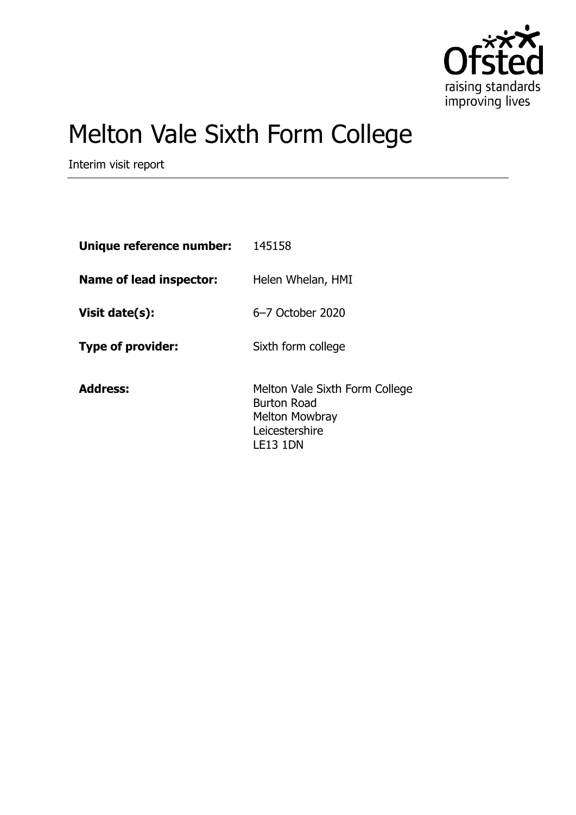

# Melton Vale Sixth Form College

Interim visit report

| Unique reference number: | 145158                                                                                                      |
|--------------------------|-------------------------------------------------------------------------------------------------------------|
| Name of lead inspector:  | Helen Whelan, HMI                                                                                           |
| Visit date(s):           | 6-7 October 2020                                                                                            |
| <b>Type of provider:</b> | Sixth form college                                                                                          |
| <b>Address:</b>          | Melton Vale Sixth Form College<br><b>Burton Road</b><br>Melton Mowbray<br>Leicestershire<br><b>LE13 1DN</b> |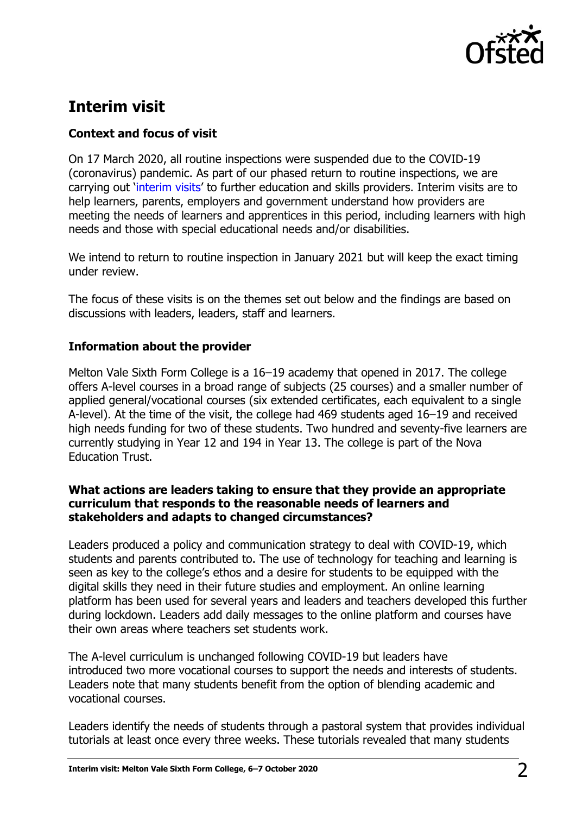

# **Interim visit**

# **Context and focus of visit**

On 17 March 2020, all routine inspections were suspended due to the COVID-19 (coronavirus) pandemic. As part of our phased return to routine inspections, we are carrying out '[interim visits](https://www.gov.uk/guidance/interim-phase-further-education-and-skills-providers#interim-visits)' to further education and skills providers. Interim visits are to help learners, parents, employers and government understand how providers are meeting the needs of learners and apprentices in this period, including learners with high needs and those with special educational needs and/or disabilities.

We intend to return to routine inspection in January 2021 but will keep the exact timing under review.

The focus of these visits is on the themes set out below and the findings are based on discussions with leaders, leaders, staff and learners.

## **Information about the provider**

Melton Vale Sixth Form College is a 16–19 academy that opened in 2017. The college offers A-level courses in a broad range of subjects (25 courses) and a smaller number of applied general/vocational courses (six extended certificates, each equivalent to a single A-level). At the time of the visit, the college had 469 students aged 16–19 and received high needs funding for two of these students. Two hundred and seventy-five learners are currently studying in Year 12 and 194 in Year 13. The college is part of the Nova Education Trust.

### **What actions are leaders taking to ensure that they provide an appropriate curriculum that responds to the reasonable needs of learners and stakeholders and adapts to changed circumstances?**

Leaders produced a policy and communication strategy to deal with COVID-19, which students and parents contributed to. The use of technology for teaching and learning is seen as key to the college's ethos and a desire for students to be equipped with the digital skills they need in their future studies and employment. An online learning platform has been used for several years and leaders and teachers developed this further during lockdown. Leaders add daily messages to the online platform and courses have their own areas where teachers set students work.

The A-level curriculum is unchanged following COVID-19 but leaders have introduced two more vocational courses to support the needs and interests of students. Leaders note that many students benefit from the option of blending academic and vocational courses.

Leaders identify the needs of students through a pastoral system that provides individual tutorials at least once every three weeks. These tutorials revealed that many students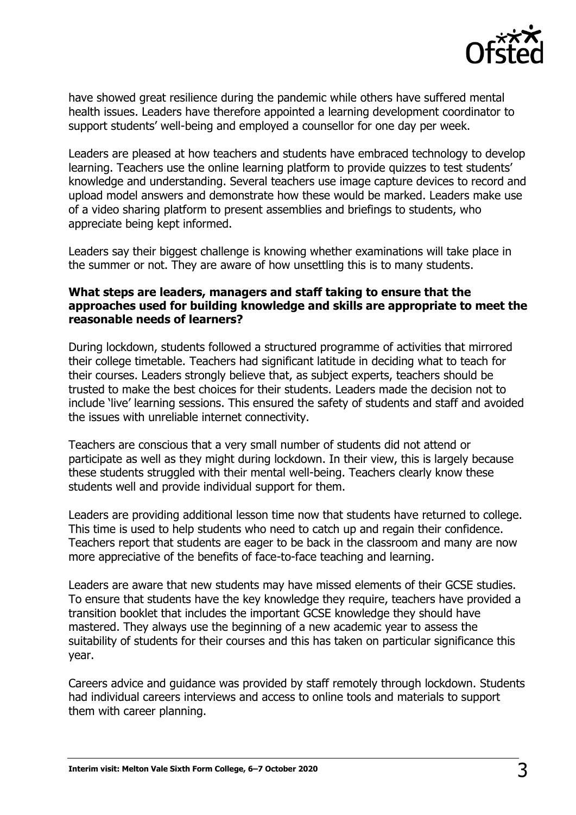

have showed great resilience during the pandemic while others have suffered mental health issues. Leaders have therefore appointed a learning development coordinator to support students' well-being and employed a counsellor for one day per week.

Leaders are pleased at how teachers and students have embraced technology to develop learning. Teachers use the online learning platform to provide quizzes to test students' knowledge and understanding. Several teachers use image capture devices to record and upload model answers and demonstrate how these would be marked. Leaders make use of a video sharing platform to present assemblies and briefings to students, who appreciate being kept informed.

Leaders say their biggest challenge is knowing whether examinations will take place in the summer or not. They are aware of how unsettling this is to many students.

### **What steps are leaders, managers and staff taking to ensure that the approaches used for building knowledge and skills are appropriate to meet the reasonable needs of learners?**

During lockdown, students followed a structured programme of activities that mirrored their college timetable. Teachers had significant latitude in deciding what to teach for their courses. Leaders strongly believe that, as subject experts, teachers should be trusted to make the best choices for their students. Leaders made the decision not to include 'live' learning sessions. This ensured the safety of students and staff and avoided the issues with unreliable internet connectivity.

Teachers are conscious that a very small number of students did not attend or participate as well as they might during lockdown. In their view, this is largely because these students struggled with their mental well-being. Teachers clearly know these students well and provide individual support for them.

Leaders are providing additional lesson time now that students have returned to college. This time is used to help students who need to catch up and regain their confidence. Teachers report that students are eager to be back in the classroom and many are now more appreciative of the benefits of face-to-face teaching and learning.

Leaders are aware that new students may have missed elements of their GCSE studies. To ensure that students have the key knowledge they require, teachers have provided a transition booklet that includes the important GCSE knowledge they should have mastered. They always use the beginning of a new academic year to assess the suitability of students for their courses and this has taken on particular significance this year.

Careers advice and guidance was provided by staff remotely through lockdown. Students had individual careers interviews and access to online tools and materials to support them with career planning.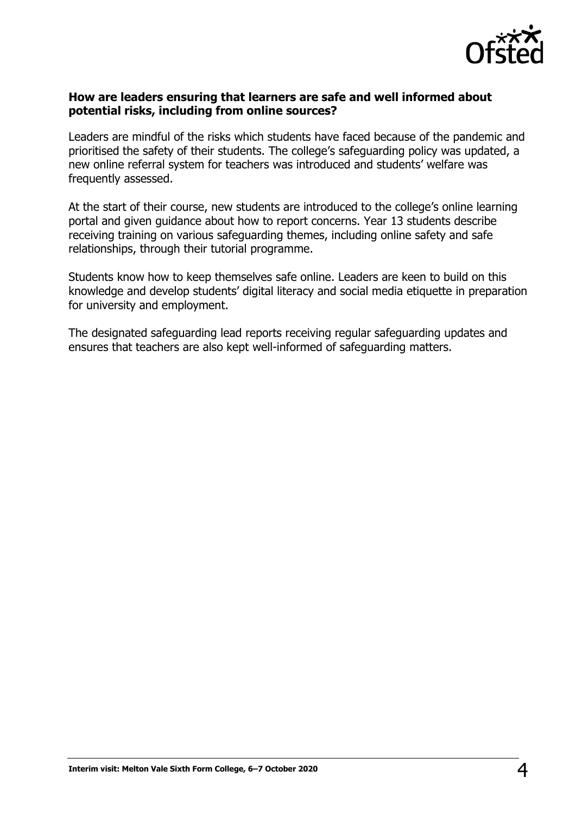

#### **How are leaders ensuring that learners are safe and well informed about potential risks, including from online sources?**

Leaders are mindful of the risks which students have faced because of the pandemic and prioritised the safety of their students. The college's safeguarding policy was updated, a new online referral system for teachers was introduced and students' welfare was frequently assessed.

At the start of their course, new students are introduced to the college's online learning portal and given guidance about how to report concerns. Year 13 students describe receiving training on various safeguarding themes, including online safety and safe relationships, through their tutorial programme.

Students know how to keep themselves safe online. Leaders are keen to build on this knowledge and develop students' digital literacy and social media etiquette in preparation for university and employment.

The designated safeguarding lead reports receiving regular safeguarding updates and ensures that teachers are also kept well-informed of safeguarding matters.